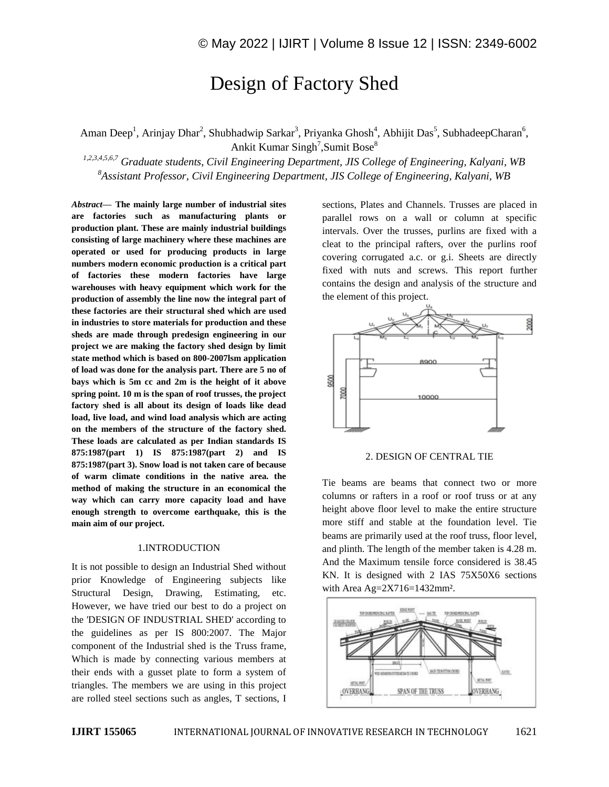# Design of Factory Shed

Aman Deep<sup>1</sup>, Arinjay Dhar<sup>2</sup>, Shubhadwip Sarkar<sup>3</sup>, Priyanka Ghosh<sup>4</sup>, Abhijit Das<sup>5</sup>, SubhadeepCharan<sup>6</sup>, Ankit Kumar Singh<sup>7</sup>, Sumit Bose<sup>8</sup>

*1,2,3,4,5,6,7 Graduate students, Civil Engineering Department, JIS College of Engineering, Kalyani, WB <sup>8</sup>Assistant Professor, Civil Engineering Department, JIS College of Engineering, Kalyani, WB*

*Abstract—* **The mainly large number of industrial sites are factories such as manufacturing plants or production plant. These are mainly industrial buildings consisting of large machinery where these machines are operated or used for producing products in large numbers modern economic production is a critical part of factories these modern factories have large warehouses with heavy equipment which work for the production of assembly the line now the integral part of these factories are their structural shed which are used in industries to store materials for production and these sheds are made through predesign engineering in our project we are making the factory shed design by limit state method which is based on 800-2007lsm application of load was done for the analysis part. There are 5 no of bays which is 5m cc and 2m is the height of it above spring point. 10 m is the span of roof trusses, the project factory shed is all about its design of loads like dead load, live load, and wind load analysis which are acting on the members of the structure of the factory shed. These loads are calculated as per Indian standards IS 875:1987(part 1) IS 875:1987(part 2) and IS 875:1987(part 3). Snow load is not taken care of because of warm climate conditions in the native area. the method of making the structure in an economical the way which can carry more capacity load and have enough strength to overcome earthquake, this is the main aim of our project.**

## 1.INTRODUCTION

It is not possible to design an Industrial Shed without prior Knowledge of Engineering subjects like Structural Design, Drawing, Estimating, etc. However, we have tried our best to do a project on the 'DESIGN OF INDUSTRIAL SHED' according to the guidelines as per IS 800:2007. The Major component of the Industrial shed is the Truss frame, Which is made by connecting various members at their ends with a gusset plate to form a system of triangles. The members we are using in this project are rolled steel sections such as angles, T sections, I

sections, Plates and Channels. Trusses are placed in parallel rows on a wall or column at specific intervals. Over the trusses, purlins are fixed with a cleat to the principal rafters, over the purlins roof covering corrugated a.c. or g.i. Sheets are directly fixed with nuts and screws. This report further contains the design and analysis of the structure and the element of this project.



#### 2. DESIGN OF CENTRAL TIE

Tie beams are beams that connect two or more columns or rafters in a roof or roof truss or at any height above floor level to make the entire structure more stiff and stable at the foundation level. Tie beams are primarily used at the roof truss, floor level, and plinth. The length of the member taken is 4.28 m. And the Maximum tensile force considered is 38.45 KN. It is designed with 2 IAS 75X50X6 sections with Area Ag=2X716=1432mm².

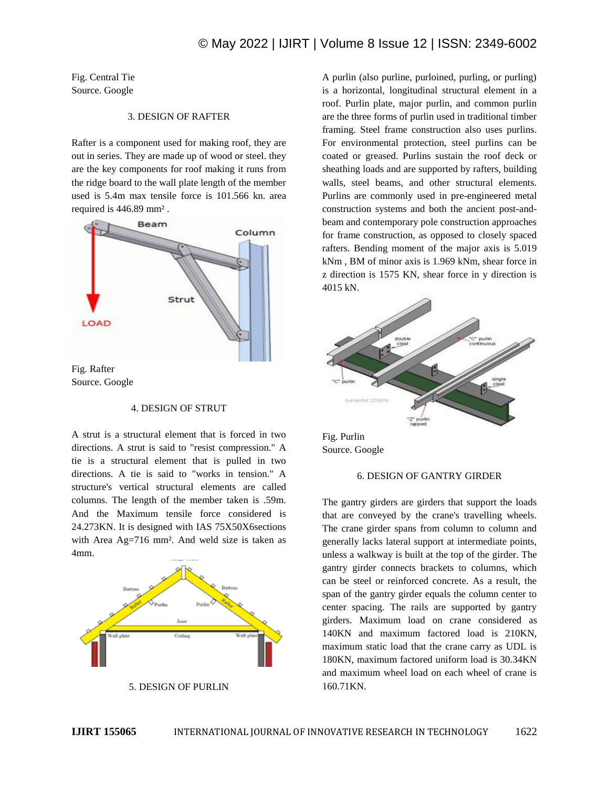Fig. Central Tie Source. Google

# 3. DESIGN OF RAFTER

Rafter is a component used for making roof, they are out in series. They are made up of wood or steel. they are the key components for roof making it runs from the ridge board to the wall plate length of the member used is 5.4m max tensile force is 101.566 kn. area required is 446.89 mm² .



Source. Google

#### 4. DESIGN OF STRUT

A strut is a structural element that is forced in two directions. A strut is said to "resist compression." A tie is a structural element that is pulled in two directions. A tie is said to "works in tension." A structure's vertical structural elements are called columns. The length of the member taken is .59m. And the Maximum tensile force considered is 24.273KN. It is designed with IAS 75X50X6sections with Area Ag=716 mm<sup>2</sup>. And weld size is taken as 4mm.



5. DESIGN OF PURLIN

A purlin (also purline, purloined, purling, or purling) is a horizontal, longitudinal structural element in a roof. Purlin plate, major purlin, and common purlin are the three forms of purlin used in traditional timber framing. Steel frame construction also uses purlins. For environmental protection, steel purlins can be coated or greased. Purlins sustain the roof deck or sheathing loads and are supported by rafters, building walls, steel beams, and other structural elements. Purlins are commonly used in pre-engineered metal construction systems and both the ancient post-andbeam and contemporary pole construction approaches for frame construction, as opposed to closely spaced rafters. Bending moment of the major axis is 5.019 kNm , BM of minor axis is 1.969 kNm, shear force in z direction is 1575 KN, shear force in y direction is 4015 kN.



Fig. Purlin Source. Google

# 6. DESIGN OF GANTRY GIRDER

The gantry girders are girders that support the loads that are conveyed by the crane's travelling wheels. The crane girder spans from column to column and generally lacks lateral support at intermediate points, unless a walkway is built at the top of the girder. The gantry girder connects brackets to columns, which can be steel or reinforced concrete. As a result, the span of the gantry girder equals the column center to center spacing. The rails are supported by gantry girders. Maximum load on crane considered as 140KN and maximum factored load is 210KN, maximum static load that the crane carry as UDL is 180KN, maximum factored uniform load is 30.34KN and maximum wheel load on each wheel of crane is 160.71KN.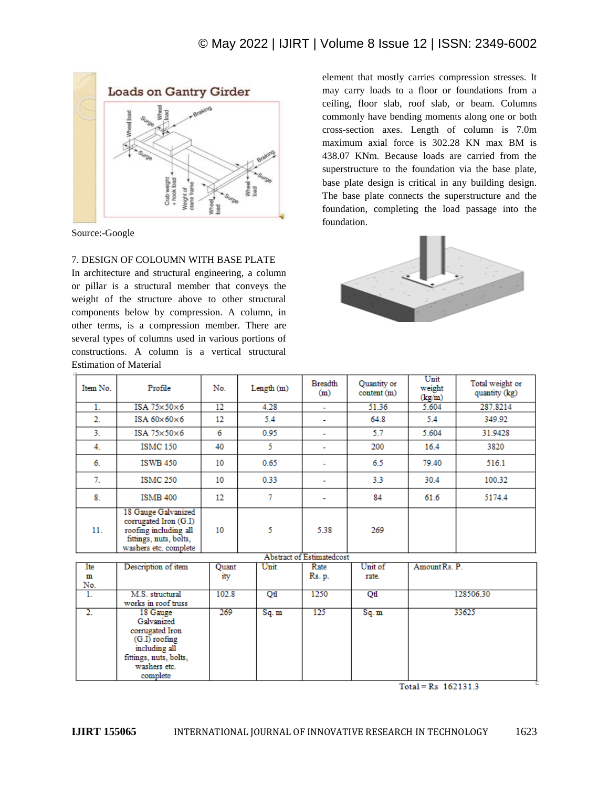

Source:-Google

## 7. DESIGN OF COLOUMN WITH BASE PLATE

In architecture and structural engineering, a column or pillar is a structural member that conveys the weight of the structure above to other structural components below by compression. A column, in other terms, is a compression member. There are several types of columns used in various portions of constructions. A column is a vertical structural Estimation of Material

element that mostly carries compression stresses. It may carry loads to a floor or foundations from a ceiling, floor slab, roof slab, or beam. Columns commonly have bending moments along one or both cross-section axes. Length of column is 7.0m maximum axial force is 302.28 KN max BM is 438.07 KNm. Because loads are carried from the superstructure to the foundation via the base plate, base plate design is critical in any building design. The base plate connects the superstructure and the foundation, completing the load passage into the foundation.



| Item No. | Profile                                                                                                                  | No. | Length (m) | <b>Breadth</b><br>(m)             | Quantity or<br>content (m) | Unit<br>weight<br>(kg/m) | Total weight or<br>quantity (kg) |
|----------|--------------------------------------------------------------------------------------------------------------------------|-----|------------|-----------------------------------|----------------------------|--------------------------|----------------------------------|
|          | ISA $75\times50\times6$                                                                                                  | 12  | 4.28       | $\overline{\phantom{a}}$          | 51.36                      | 5.604                    | 287.8214                         |
| 2.       | ISA $60\times60\times6$                                                                                                  | 12  | 5.4        | ۰                                 | 64.8                       | 5.4                      | 349.92                           |
| 3.       | ISA $75\times50\times6$                                                                                                  | 6   | 0.95       | ۰                                 | 5.7                        | 5.604                    | 31.9428                          |
| 4.       | <b>ISMC 150</b>                                                                                                          | 40  | 5          | $\overline{\phantom{a}}$          | 200                        | 16.4                     | 3820                             |
| 6.       | <b>ISWB 450</b>                                                                                                          | 10  | 0.65       | ۰                                 | 6.5                        | 79.40                    | 516.1                            |
| 7.       | <b>ISMC 250</b>                                                                                                          | 10  | 0.33       | ٠                                 | 3.3                        | 30.4                     | 100.32                           |
| 8.       | <b>ISMB 400</b>                                                                                                          | 12  | 7          |                                   | 84                         | 61.6                     | 5174.4                           |
| 11.      | 18 Gauge Galvanized<br>corrugated Iron (G.I)<br>roofing including all<br>fittings, nuts, bolts,<br>washers etc. complete | 10  | 5          | 5.38<br>Abstract of Estimatedcost | 269                        |                          |                                  |

| Ite | Description of item    | Ouant | Unit  | Rate   | Unit of | Amount Rs. P. |  |  |  |  |  |
|-----|------------------------|-------|-------|--------|---------|---------------|--|--|--|--|--|
| m   |                        | ity   |       | Rs. p. | rate.   |               |  |  |  |  |  |
| No. |                        |       |       |        |         |               |  |  |  |  |  |
|     | M.S. structural        | 102.8 | Otl   | 1250   | Qtl     | 128506.30     |  |  |  |  |  |
|     | works in roof truss    |       |       |        |         |               |  |  |  |  |  |
|     | 18 Gauge               | 269   | Sq. m | 125    | Sq. m   | 33625         |  |  |  |  |  |
|     | Galvanized             |       |       |        |         |               |  |  |  |  |  |
|     | corrugated Iron        |       |       |        |         |               |  |  |  |  |  |
|     | $(G.I)$ roofing        |       |       |        |         |               |  |  |  |  |  |
|     | including all          |       |       |        |         |               |  |  |  |  |  |
|     | fittings, nuts, bolts, |       |       |        |         |               |  |  |  |  |  |
|     | washers etc.           |       |       |        |         |               |  |  |  |  |  |
|     | complete               |       |       |        |         |               |  |  |  |  |  |

 $Total = Rs$   $162131.3$ 

**IJIRT 155065** INTERNATIONAL JOURNAL OF INNOVATIVE RESEARCH IN TECHNOLOGY 1623